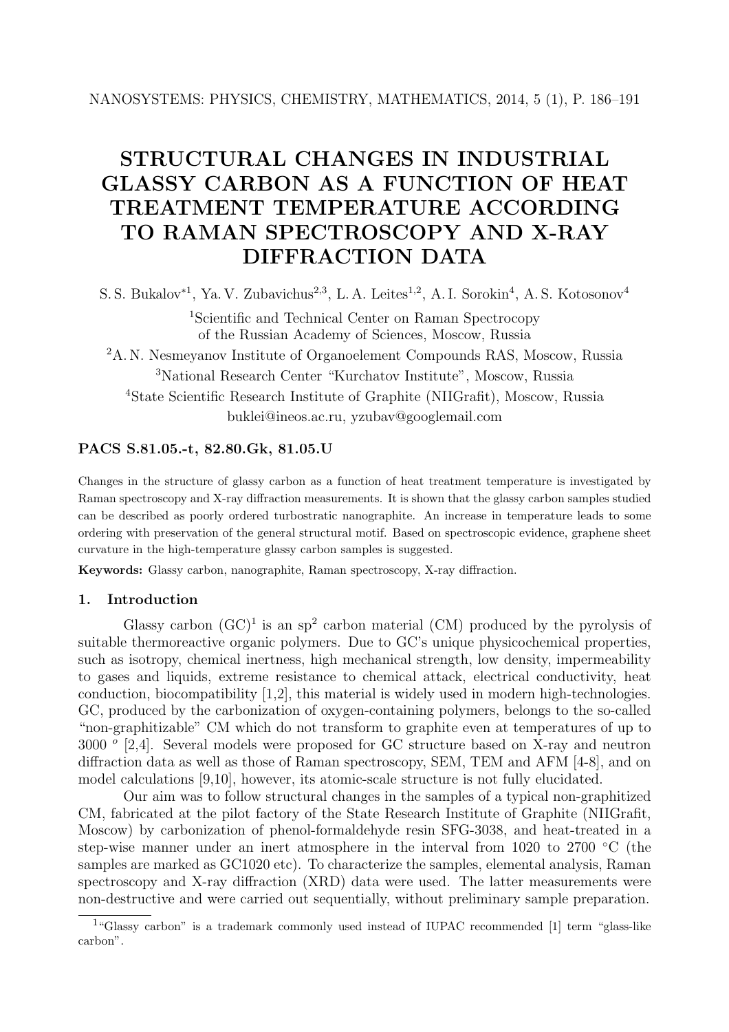# **STRUCTURAL CHANGES IN INDUSTRIAL GLASSY CARBON AS A FUNCTION OF HEAT TREATMENT TEMPERATURE ACCORDING TO RAMAN SPECTROSCOPY AND X-RAY DIFFRACTION DATA**

S. S. Bukalov∗<sup>1</sup>, Ya. V. Zubavichus<sup>2</sup>*,*<sup>3</sup>, L. A. Leites<sup>1</sup>*,*<sup>2</sup>, A. I. Sorokin<sup>4</sup>, A. S. Kotosonov<sup>4</sup>

<sup>1</sup>Scientific and Technical Center on Raman Spectrocopy of the Russian Academy of Sciences, Moscow, Russia

<sup>2</sup>A. N. Nesmeyanov Institute of Organoelement Compounds RAS, Moscow, Russia <sup>3</sup>National Research Center "Kurchatov Institute", Moscow, Russia <sup>4</sup>State Scientific Research Institute of Graphite (NIIGrafit), Moscow, Russia buklei@ineos.ac.ru, yzubav@googlemail.com

## **PACS S.81.05.-t, 82.80.Gk, 81.05.U**

Changes in the structure of glassy carbon as a function of heat treatment temperature is investigated by Raman spectroscopy and X-ray diffraction measurements. It is shown that the glassy carbon samples studied can be described as poorly ordered turbostratic nanographite. An increase in temperature leads to some ordering with preservation of the general structural motif. Based on spectroscopic evidence, graphene sheet curvature in the high-temperature glassy carbon samples is suggested.

**Keywords:** Glassy carbon, nanographite, Raman spectroscopy, X-ray diffraction.

## **1. Introduction**

Glassy carbon  $(GC)^1$  is an sp<sup>2</sup> carbon material  $(CM)$  produced by the pyrolysis of suitable thermoreactive organic polymers. Due to GC's unique physicochemical properties, such as isotropy, chemical inertness, high mechanical strength, low density, impermeability to gases and liquids, extreme resistance to chemical attack, electrical conductivity, heat conduction, biocompatibility [1,2], this material is widely used in modern high-technologies. GC, produced by the carbonization of oxygen-containing polymers, belongs to the so-called "non-graphitizable" CM which do not transform to graphite even at temperatures of up to 3000 *<sup>o</sup>* [2,4]. Several models were proposed for GC structure based on X-ray and neutron diffraction data as well as those of Raman spectroscopy, SEM, TEM and AFM [4-8], and on model calculations [9,10], however, its atomic-scale structure is not fully elucidated.

Our aim was to follow structural changes in the samples of a typical non-graphitized CM, fabricated at the pilot factory of the State Research Institute of Graphite (NIIGrafit, Moscow) by carbonization of phenol-formaldehyde resin SFG-3038, and heat-treated in a step-wise manner under an inert atmosphere in the interval from 1020 to 2700 °C (the samples are marked as GC1020 etc). To characterize the samples, elemental analysis, Raman spectroscopy and X-ray diffraction (XRD) data were used. The latter measurements were non-destructive and were carried out sequentially, without preliminary sample preparation.

<sup>&</sup>lt;sup>1</sup>"Glassy carbon" is a trademark commonly used instead of IUPAC recommended [1] term "glass-like" carbon".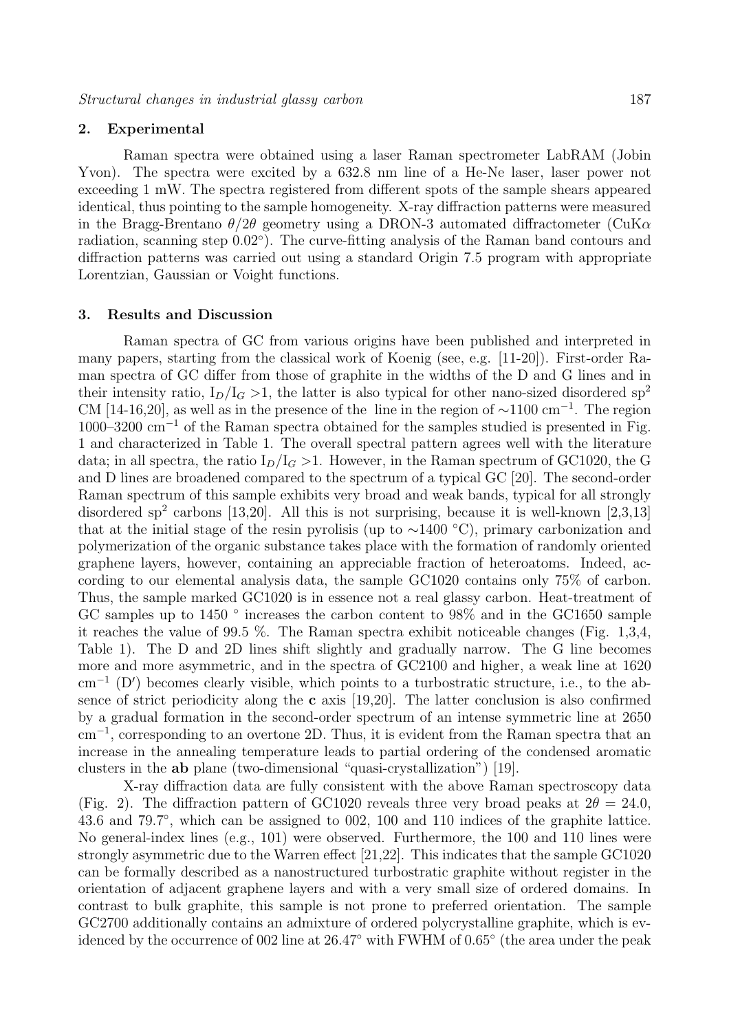### **2. Experimental**

Raman spectra were obtained using a laser Raman spectrometer LabRAM (Jobin Yvon). The spectra were excited by a 632.8 nm line of a He-Ne laser, laser power not exceeding 1 mW. The spectra registered from different spots of the sample shears appeared identical, thus pointing to the sample homogeneity. X-ray diffraction patterns were measured in the Bragg-Brentano  $\theta/2\theta$  geometry using a DRON-3 automated diffractometer (CuK $\alpha$ radiation, scanning step 0.02◦). The curve-fitting analysis of the Raman band contours and diffraction patterns was carried out using a standard Origin 7.5 program with appropriate Lorentzian, Gaussian or Voight functions.

## **3. Results and Discussion**

Raman spectra of GC from various origins have been published and interpreted in many papers, starting from the classical work of Koenig (see, e.g. [11-20]). First-order Raman spectra of GC differ from those of graphite in the widths of the D and G lines and in their intensity ratio,  $I_D/I_G > 1$ , the latter is also typical for other nano-sized disordered sp<sup>2</sup> CM [14-16,20], as well as in the presence of the line in the region of  $\sim$ 1100 cm<sup>-1</sup>. The region  $1000-3200$  cm<sup>-1</sup> of the Raman spectra obtained for the samples studied is presented in Fig. 1 and characterized in Table 1. The overall spectral pattern agrees well with the literature data; in all spectra, the ratio  $I_D/I_G > 1$ . However, in the Raman spectrum of GC1020, the G and D lines are broadened compared to the spectrum of a typical GC [20]. The second-order Raman spectrum of this sample exhibits very broad and weak bands, typical for all strongly disordered sp<sup>2</sup> carbons [13,20]. All this is not surprising, because it is well-known [2,3,13] that at the initial stage of the resin pyrolisis (up to  $\sim$ 1400 °C), primary carbonization and polymerization of the organic substance takes place with the formation of randomly oriented graphene layers, however, containing an appreciable fraction of heteroatoms. Indeed, according to our elemental analysis data, the sample GC1020 contains only 75% of carbon. Thus, the sample marked GC1020 is in essence not a real glassy carbon. Heat-treatment of GC samples up to 1450 ° increases the carbon content to 98% and in the GC1650 sample it reaches the value of 99.5 %. The Raman spectra exhibit noticeable changes (Fig. 1,3,4, Table 1). The D and 2D lines shift slightly and gradually narrow. The G line becomes more and more asymmetric, and in the spectra of GC2100 and higher, a weak line at 1620 cm<sup>-1</sup> (D') becomes clearly visible, which points to a turbostratic structure, i.e., to the absence of strict periodicity along the **c** axis [19,20]. The latter conclusion is also confirmed by a gradual formation in the second-order spectrum of an intense symmetric line at 2650 cm−<sup>1</sup>, corresponding to an overtone 2D. Thus, it is evident from the Raman spectra that an increase in the annealing temperature leads to partial ordering of the condensed aromatic clusters in the **ab** plane (two-dimensional "quasi-crystallization") [19].

X-ray diffraction data are fully consistent with the above Raman spectroscopy data (Fig. 2). The diffraction pattern of GC1020 reveals three very broad peaks at  $2\theta = 24.0$ , 43.6 and 79.7◦, which can be assigned to 002, 100 and 110 indices of the graphite lattice. No general-index lines (e.g., 101) were observed. Furthermore, the 100 and 110 lines were strongly asymmetric due to the Warren effect [21,22]. This indicates that the sample GC1020 can be formally described as a nanostructured turbostratic graphite without register in the orientation of adjacent graphene layers and with a very small size of ordered domains. In contrast to bulk graphite, this sample is not prone to preferred orientation. The sample GC2700 additionally contains an admixture of ordered polycrystalline graphite, which is evidenced by the occurrence of 002 line at 26.47◦ with FWHM of 0.65◦ (the area under the peak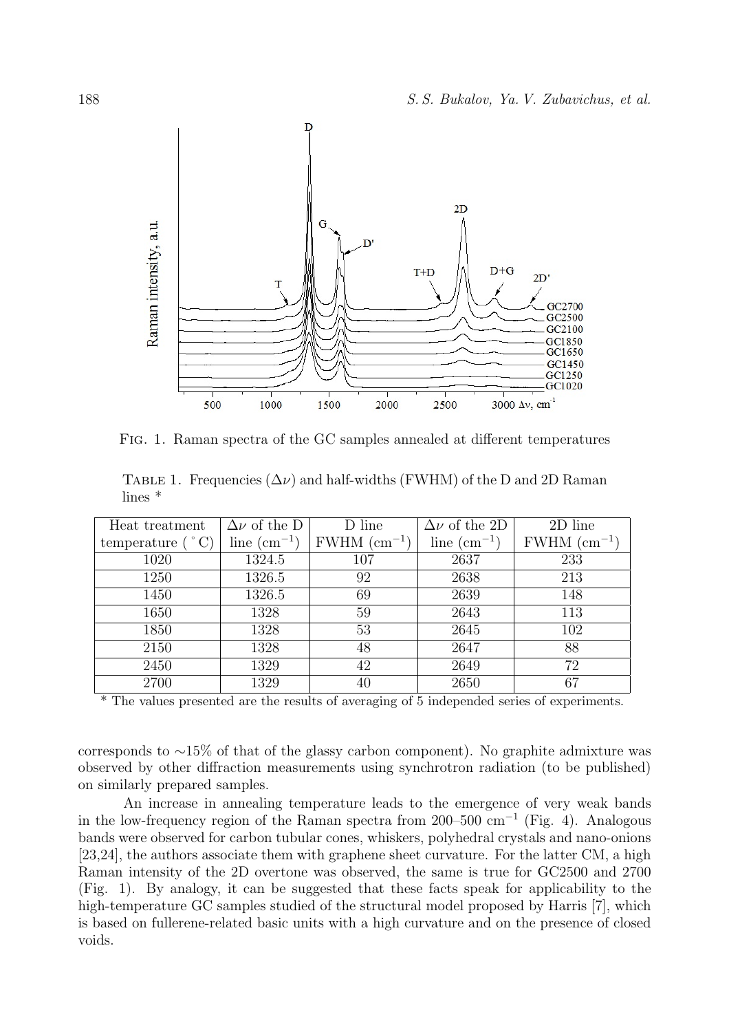

Fig. 1. Raman spectra of the GC samples annealed at different temperatures

|           | TABLE 1. Frequencies $(\Delta \nu)$ and half-widths (FWHM) of the D and 2D Raman |  |  |  |  |
|-----------|----------------------------------------------------------------------------------|--|--|--|--|
| lines $*$ |                                                                                  |  |  |  |  |

| Heat treatment     | $\overline{\Delta \nu}$ of the D | D line           | $\overline{\Delta \nu}$ of the 2D | 2D line          |
|--------------------|----------------------------------|------------------|-----------------------------------|------------------|
| temperature $(°C)$ | line $\rm (cm^{-1})$             | $FWHM~(cm^{-1})$ | line $\rm (cm^{-1})$              | $FWHM~(cm^{-1})$ |
| 1020               | 1324.5                           | 107              | 2637                              | 233              |
| 1250               | 1326.5                           | 92               | 2638                              | 213              |
| 1450               | 1326.5                           | 69               | 2639                              | 148              |
| 1650               | 1328                             | 59               | 2643                              | 113              |
| 1850               | 1328                             | 53               | 2645                              | 102              |
| 2150               | 1328                             | 48               | 2647                              | 88               |
| 2450               | 1329                             | 42               | 2649                              | 72               |
| 2700               | 1329                             | 40               | 2650                              | 67               |

\* The values presented are the results of averaging of 5 independed series of experiments.

corresponds to ∼15% of that of the glassy carbon component). No graphite admixture was observed by other diffraction measurements using synchrotron radiation (to be published) on similarly prepared samples.

An increase in annealing temperature leads to the emergence of very weak bands in the low-frequency region of the Raman spectra from 200–500 cm<sup>-1</sup> (Fig. 4). Analogous bands were observed for carbon tubular cones, whiskers, polyhedral crystals and nano-onions [23,24], the authors associate them with graphene sheet curvature. For the latter CM, a high Raman intensity of the 2D overtone was observed, the same is true for GC2500 and 2700 (Fig. 1). By analogy, it can be suggested that these facts speak for applicability to the high-temperature GC samples studied of the structural model proposed by Harris [7], which is based on fullerene-related basic units with a high curvature and on the presence of closed voids.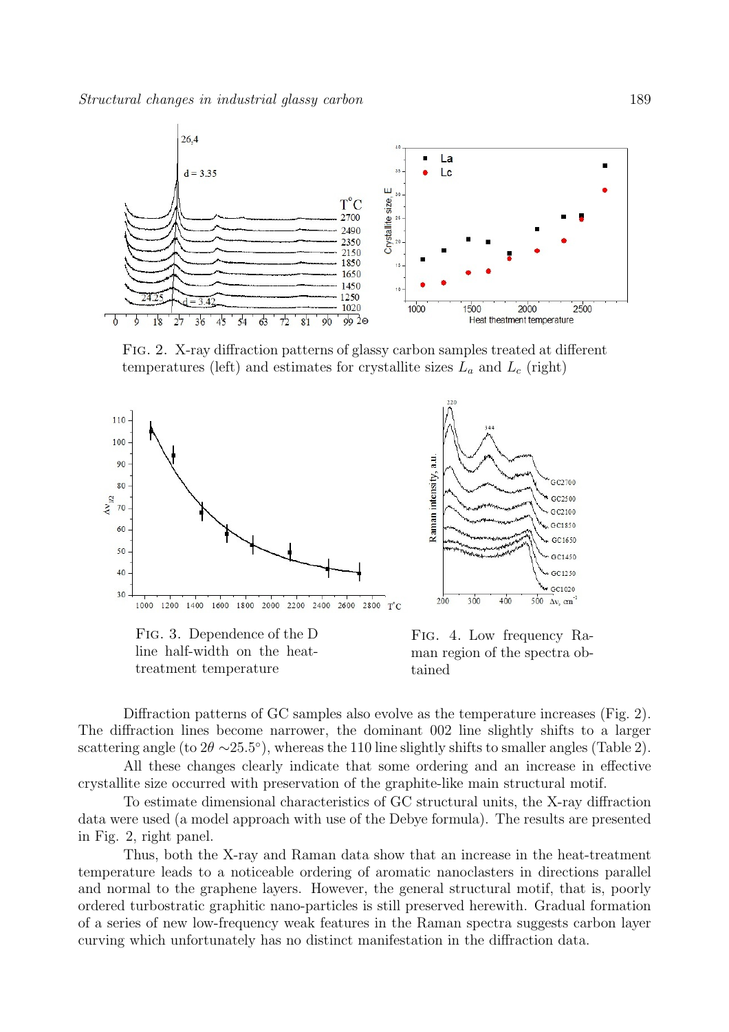

Fig. 2. X-ray diffraction patterns of glassy carbon samples treated at different temperatures (left) and estimates for crystallite sizes  $L_a$  and  $L_c$  (right)



Fig. 3. Dependence of the D line half-width on the heattreatment temperature



Fig. 4. Low frequency Raman region of the spectra obtained

Diffraction patterns of GC samples also evolve as the temperature increases (Fig. 2). The diffraction lines become narrower, the dominant 002 line slightly shifts to a larger scattering angle (to  $2\theta \sim 25.5^{\circ}$ ), whereas the 110 line slightly shifts to smaller angles (Table 2).

All these changes clearly indicate that some ordering and an increase in effective crystallite size occurred with preservation of the graphite-like main structural motif.

To estimate dimensional characteristics of GC structural units, the X-ray diffraction data were used (a model approach with use of the Debye formula). The results are presented in Fig. 2, right panel.

Thus, both the X-ray and Raman data show that an increase in the heat-treatment temperature leads to a noticeable ordering of aromatic nanoclasters in directions parallel and normal to the graphene layers. However, the general structural motif, that is, poorly ordered turbostratic graphitic nano-particles is still preserved herewith. Gradual formation of a series of new low-frequency weak features in the Raman spectra suggests carbon layer curving which unfortunately has no distinct manifestation in the diffraction data.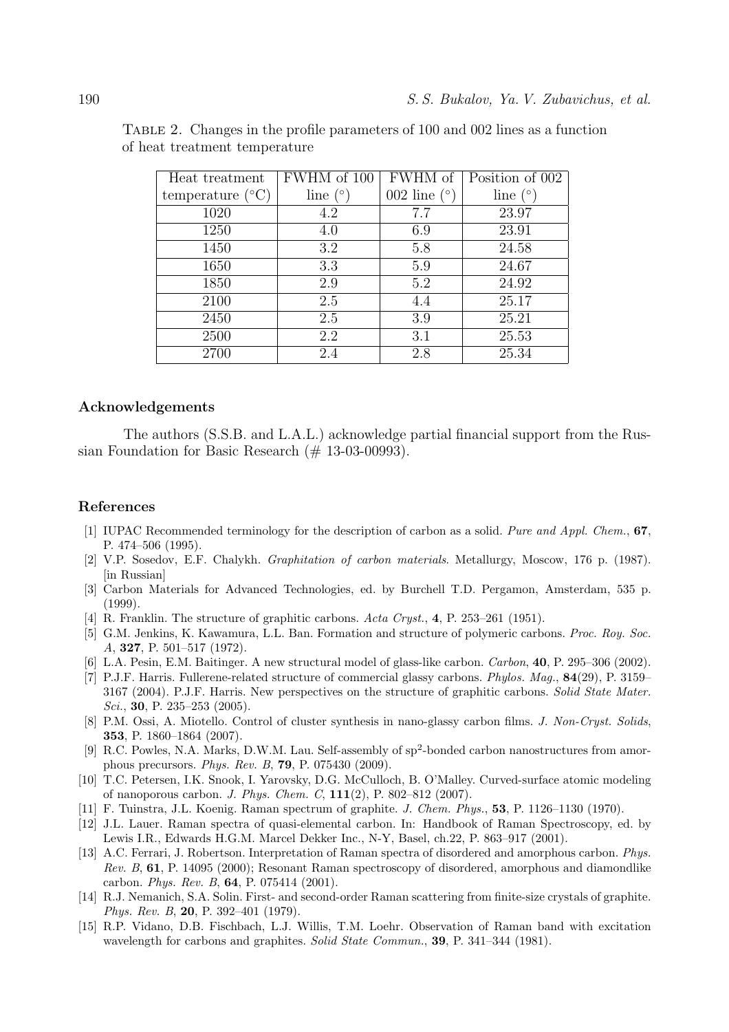| Heat treatment            | FWHM of 100 | FWHM of        | Position of 002 |
|---------------------------|-------------|----------------|-----------------|
| temperature $(^{\circ}C)$ | line $(°)$  | 002 line $(°)$ | line $(°)$      |
| 1020                      | 4.2         | 7.7            | 23.97           |
| 1250                      | 4.0         | 6.9            | 23.91           |
| 1450                      | 3.2         | 5.8            | 24.58           |
| 1650                      | 3.3         | 5.9            | 24.67           |
| 1850                      | 2.9         | 5.2            | 24.92           |
| 2100                      | 2.5         | 4.4            | 25.17           |
| 2450                      | 2.5         | 3.9            | 25.21           |
| 2500                      | 2.2         | 3.1            | 25.53           |
| 2700                      | 2.4         | 2.8            | 25.34           |

Table 2. Changes in the profile parameters of 100 and 002 lines as a function of heat treatment temperature

### **Acknowledgements**

The authors (S.S.B. and L.A.L.) acknowledge partial financial support from the Russian Foundation for Basic Research  $(\text{\# } 13\text{-}03\text{-}00993)$ .

#### **References**

- [1] IUPAC Recommended terminology for the description of carbon as a solid. *Pure and Appl. Chem.*, **67**, P. 474–506 (1995).
- [2] V.P. Sosedov, E.F. Chalykh. *Graphitation of carbon materials*. Metallurgy, Moscow, 176 p. (1987). [in Russian]
- [3] Carbon Materials for Advanced Technologies, ed. by Burchell T.D. Pergamon, Amsterdam, 535 p. (1999).
- [4] R. Franklin. The structure of graphitic carbons. *Acta Cryst.*, **4**, P. 253–261 (1951).
- [5] G.M. Jenkins, K. Kawamura, L.L. Ban. Formation and structure of polymeric carbons. *Proc. Roy. Soc. A*, **327**, P. 501–517 (1972).
- [6] L.A. Pesin, E.M. Baitinger. A new structural model of glass-like carbon. *Carbon*, **40**, P. 295–306 (2002).
- [7] P.J.F. Harris. Fullerene-related structure of commercial glassy carbons. *Phylos. Mag.*, **84**(29), P. 3159– 3167 (2004). P.J.F. Harris. New perspectives on the structure of graphitic carbons. *Solid State Mater. Sci.*, **30**, P. 235–253 (2005).
- [8] P.M. Ossi, A. Miotello. Control of cluster synthesis in nano-glassy carbon films. *J. Non-Cryst. Solids*, **353**, P. 1860–1864 (2007).
- [9] R.C. Powles, N.A. Marks, D.W.M. Lau. Self-assembly of  $sp^2$ -bonded carbon nanostructures from amorphous precursors. *Phys. Rev. B*, **79**, P. 075430 (2009).
- [10] T.C. Petersen, I.K. Snook, I. Yarovsky, D.G. McCulloch, B. O'Malley. Curved-surface atomic modeling of nanoporous carbon. *J. Phys. Chem. C*, **111**(2), P. 802–812 (2007).
- [11] F. Tuinstra, J.L. Koenig. Raman spectrum of graphite. *J. Chem. Phys.*, **53**, P. 1126–1130 (1970).
- [12] J.L. Lauer. Raman spectra of quasi-elemental carbon. In: Handbook of Raman Spectroscopy, ed. by Lewis I.R., Edwards H.G.M. Marcel Dekker Inc., N-Y, Basel, ch.22, P. 863–917 (2001).
- [13] A.C. Ferrari, J. Robertson. Interpretation of Raman spectra of disordered and amorphous carbon. *Phys. Rev. B*, **61**, P. 14095 (2000); Resonant Raman spectroscopy of disordered, amorphous and diamondlike carbon. *Phys. Rev. B*, **64**, P. 075414 (2001).
- [14] R.J. Nemanich, S.A. Solin. First- and second-order Raman scattering from finite-size crystals of graphite. *Phys. Rev. B*, **20**, P. 392–401 (1979).
- [15] R.P. Vidano, D.B. Fischbach, L.J. Willis, T.M. Loehr. Observation of Raman band with excitation wavelength for carbons and graphites. *Solid State Commun.*, **39**, P. 341–344 (1981).